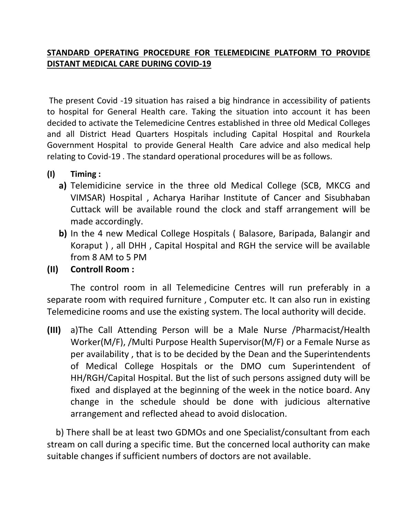## **STANDARD OPERATING PROCEDURE FOR TELEMEDICINE PLATFORM TO PROVIDE DISTANT MEDICAL CARE DURING COVID-19**

The present Covid -19 situation has raised a big hindrance in accessibility of patients to hospital for General Health care. Taking the situation into account it has been decided to activate the Telemedicine Centres established in three old Medical Colleges and all District Head Quarters Hospitals including Capital Hospital and Rourkela Government Hospital to provide General Health Care advice and also medical help relating to Covid-19 . The standard operational procedures will be as follows.

- **(I) Timing :** 
	- **a)** Telemidicine service in the three old Medical College (SCB, MKCG and VIMSAR) Hospital , Acharya Harihar Institute of Cancer and Sisubhaban Cuttack will be available round the clock and staff arrangement will be made accordingly.
	- **b)** In the 4 new Medical College Hospitals ( Balasore, Baripada, Balangir and Koraput ) , all DHH , Capital Hospital and RGH the service will be available from 8 AM to 5 PM
- **(II) Controll Room :**

The control room in all Telemedicine Centres will run preferably in a separate room with required furniture , Computer etc. It can also run in existing Telemedicine rooms and use the existing system. The local authority will decide.

**(III)** a)The Call Attending Person will be a Male Nurse /Pharmacist/Health Worker(M/F), /Multi Purpose Health Supervisor(M/F) or a Female Nurse as per availability , that is to be decided by the Dean and the Superintendents of Medical College Hospitals or the DMO cum Superintendent of HH/RGH/Capital Hospital. But the list of such persons assigned duty will be fixed and displayed at the beginning of the week in the notice board. Any change in the schedule should be done with judicious alternative arrangement and reflected ahead to avoid dislocation.

 b) There shall be at least two GDMOs and one Specialist/consultant from each stream on call during a specific time. But the concerned local authority can make suitable changes if sufficient numbers of doctors are not available.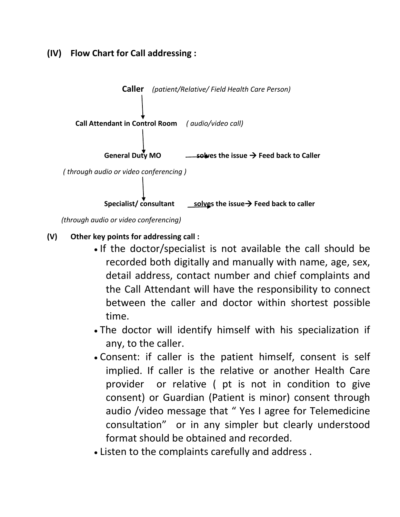## **(IV) Flow Chart for Call addressing :**



 *<sup>(</sup>through audio or video conferencing)*

- **(V) Other key points for addressing call :**
	- If the doctor/specialist is not available the call should be recorded both digitally and manually with name, age, sex, detail address, contact number and chief complaints and the Call Attendant will have the responsibility to connect between the caller and doctor within shortest possible time.
	- The doctor will identify himself with his specialization if any, to the caller.
	- Consent: if caller is the patient himself, consent is self implied. If caller is the relative or another Health Care provider or relative ( pt is not in condition to give consent) or Guardian (Patient is minor) consent through audio /video message that " Yes I agree for Telemedicine consultation" or in any simpler but clearly understood format should be obtained and recorded.
	- Listen to the complaints carefully and address .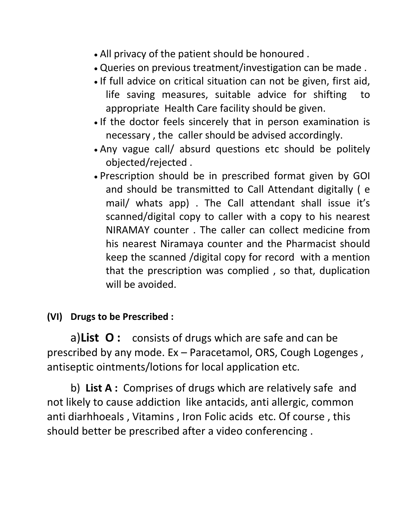- All privacy of the patient should be honoured .
- Queries on previous treatment/investigation can be made .
- If full advice on critical situation can not be given, first aid, life saving measures, suitable advice for shifting to appropriate Health Care facility should be given.
- If the doctor feels sincerely that in person examination is necessary , the caller should be advised accordingly.
- Any vague call/ absurd questions etc should be politely objected/rejected .
- Prescription should be in prescribed format given by GOI and should be transmitted to Call Attendant digitally ( e mail/ whats app) . The Call attendant shall issue it's scanned/digital copy to caller with a copy to his nearest NIRAMAY counter . The caller can collect medicine from his nearest Niramaya counter and the Pharmacist should keep the scanned /digital copy for record with a mention that the prescription was complied , so that, duplication will be avoided.

## **(VI) Drugs to be Prescribed :**

a)**List O :** consists of drugs which are safe and can be prescribed by any mode. Ex – Paracetamol, ORS, Cough Logenges , antiseptic ointments/lotions for local application etc.

b) **List A :** Comprises of drugs which are relatively safe and not likely to cause addiction like antacids, anti allergic, common anti diarhhoeals , Vitamins , Iron Folic acids etc. Of course , this should better be prescribed after a video conferencing .